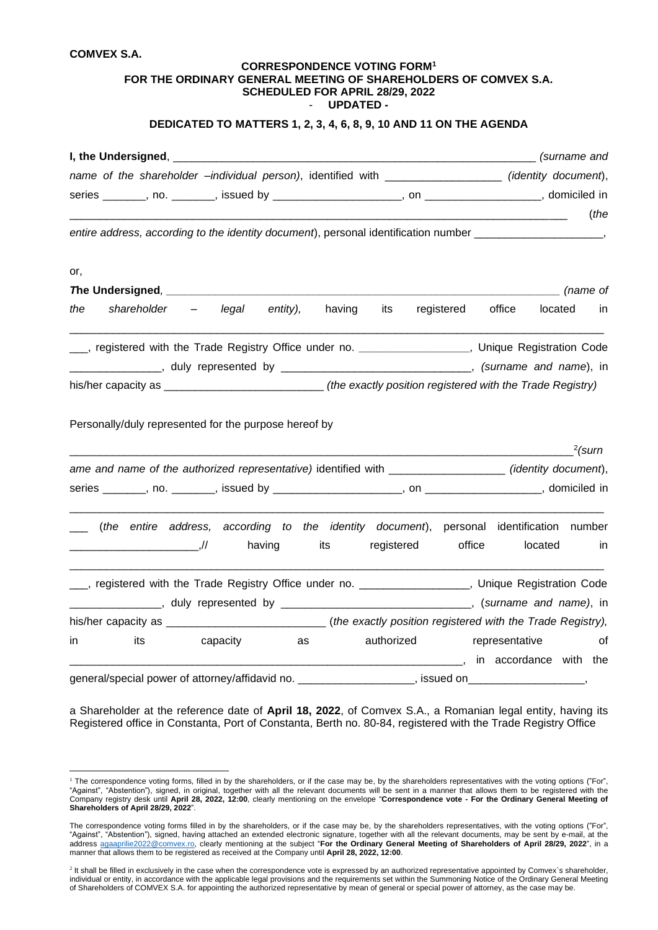## **COMVEX S.A.**

| <b>COMVEX S.A.</b> |                                                       |          |          |                                                                                                                |            |                                                                                                                |                |          |           |
|--------------------|-------------------------------------------------------|----------|----------|----------------------------------------------------------------------------------------------------------------|------------|----------------------------------------------------------------------------------------------------------------|----------------|----------|-----------|
|                    |                                                       |          |          | <b>CORRESPONDENCE VOTING FORM<sup>1</sup></b><br>SCHEDULED FOR APRIL 28/29, 2022<br><b>UPDATED -</b><br>$\sim$ |            | FOR THE ORDINARY GENERAL MEETING OF SHAREHOLDERS OF COMVEX S.A.                                                |                |          |           |
|                    |                                                       |          |          |                                                                                                                |            | DEDICATED TO MATTERS 1, 2, 3, 4, 6, 8, 9, 10 AND 11 ON THE AGENDA                                              |                |          |           |
|                    |                                                       |          |          |                                                                                                                |            |                                                                                                                |                |          |           |
|                    |                                                       |          |          |                                                                                                                |            | name of the shareholder -individual person), identified with ___________________ (identity document),          |                |          |           |
|                    |                                                       |          |          |                                                                                                                |            |                                                                                                                |                |          |           |
|                    |                                                       |          |          |                                                                                                                |            |                                                                                                                |                |          | (the      |
|                    |                                                       |          |          |                                                                                                                |            | entire address, according to the identity document), personal identification number _____________________,     |                |          |           |
|                    |                                                       |          |          |                                                                                                                |            |                                                                                                                |                |          |           |
| or,                |                                                       |          |          |                                                                                                                |            |                                                                                                                |                | (name of |           |
|                    |                                                       |          |          |                                                                                                                |            |                                                                                                                |                |          |           |
| the                | shareholder –                                         | legal    | entity), |                                                                                                                | having its | registered                                                                                                     | office         | located  | ın        |
|                    |                                                       |          |          |                                                                                                                |            | registered with the Trade Registry Office under no. ____________________, Unique Registration Code             |                |          |           |
|                    |                                                       |          |          |                                                                                                                |            | LACCOLOUNTY And The Company of Surfame and name), in the contract of the Company of the Company of the Company |                |          |           |
|                    |                                                       |          |          |                                                                                                                |            | his/her capacity as _________________________________(the exactly position registered with the Trade Registry) |                |          |           |
|                    |                                                       |          |          |                                                                                                                |            |                                                                                                                |                |          |           |
|                    | Personally/duly represented for the purpose hereof by |          |          |                                                                                                                |            |                                                                                                                |                |          |           |
|                    |                                                       |          |          | <u> 1980 - Johann Barbara, martin da kasar Amerikaan kasar da</u>                                              |            |                                                                                                                |                |          | $2$ (surn |
|                    |                                                       |          |          |                                                                                                                |            | ame and name of the authorized representative) identified with ___________________(identity document),         |                |          |           |
|                    |                                                       |          |          |                                                                                                                |            |                                                                                                                |                |          |           |
|                    |                                                       |          |          |                                                                                                                |            |                                                                                                                |                |          |           |
|                    |                                                       |          |          |                                                                                                                |            | (the entire address, according to the identity document), personal identification number                       |                |          |           |
|                    |                                                       |          | having   | its                                                                                                            | registered |                                                                                                                | office         | located  | in        |
|                    |                                                       |          |          |                                                                                                                |            | ___, registered with the Trade Registry Office under no. _________________, Unique Registration Code           |                |          |           |
|                    |                                                       |          |          |                                                                                                                |            | ____________, duly represented by _________________________________, (surname and name), in                    |                |          |           |
|                    |                                                       |          |          |                                                                                                                |            |                                                                                                                |                |          |           |
|                    |                                                       |          |          |                                                                                                                |            |                                                                                                                |                |          |           |
| in                 | its                                                   | capacity | as       |                                                                                                                | authorized |                                                                                                                | representative |          | 0f        |

general/special power of attorney/affidavid no. \_\_\_\_\_\_\_\_\_\_\_\_\_\_\_\_\_\_\_\_\_\_\_\_, issued on

a Shareholder at the reference date of **April 18, 2022**, of Comvex S.A., a Romanian legal entity, having its Registered office in Constanta, Port of Constanta, Berth no. 80-84, registered with the Trade Registry Office

 $1$  The correspondence voting forms, filled in by the shareholders, or if the case may be, by the shareholders representatives with the voting options ("For", "Against", "Abstention"), signed, in original, together with all the relevant documents will be sent in a manner that allows them to be registered with the Company registry desk until **April 28, 2022, 12:00**, clearly mentioning on the envelope "**Correspondence vote - For the Ordinary General Meeting of Shareholders of April 28/29, 2022**".

The correspondence voting forms filled in by the shareholders, or if the case may be, by the shareholders representatives, with the voting options ("For", "Against", "Abstention"), signed, having attached an extended electronic signature, together with all the relevant documents, may be sent by e-mail, at the address [agaaprilie2022@comvex.ro,](mailto:agaaprile2022@comvex.ro) clearly mentioning at the subject "**For the Ordinary General Meeting of Shareholders of April 28/29, 2022**", in a manner that allows them to be registered as received at the Company until **April 28, 2022, 12:00**.

<sup>&</sup>lt;sup>2</sup> It shall be filled in exclusively in the case when the correspondence vote is expressed by an authorized representative appointed by Comvex's shareholder, individual or entity, in accordance with the applicable legal provisions and the requirements set within the Summoning Notice of the Ordinary General Meeting of Shareholders of COMVEX S.A. for appointing the authorized representative by mean of general or special power of attorney, as the case may be.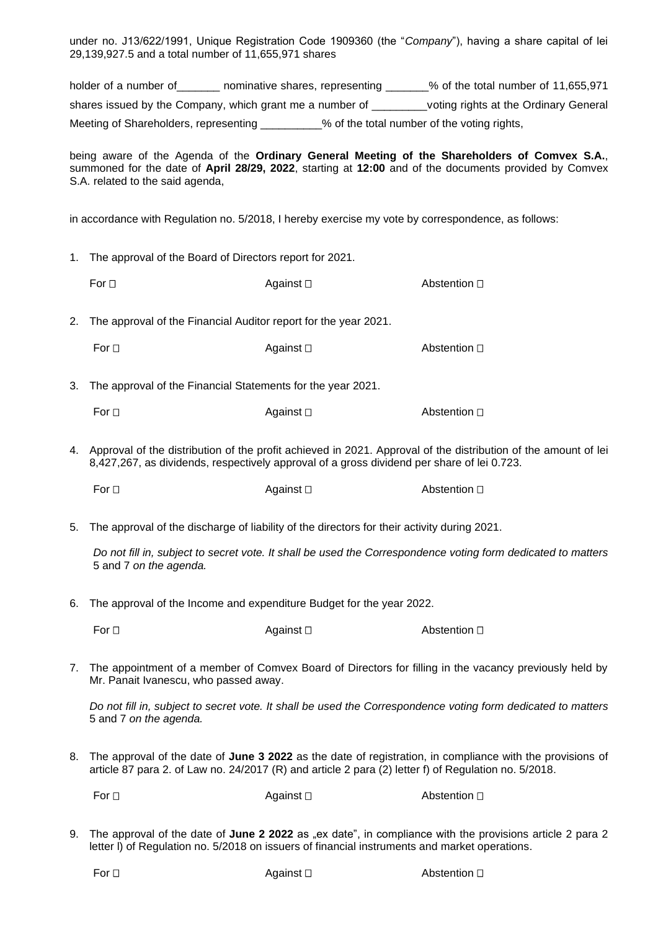under no. J13/622/1991, Unique Registration Code 1909360 (the "*Company*"), having a share capital of lei 29,139,927.5 and a total number of 11,655,971 shares

holder of a number of \_\_\_\_\_\_\_ nominative shares, representing \_\_\_\_\_\_% of the total number of 11,655,971 shares issued by the Company, which grant me a number of voting rights at the Ordinary General Meeting of Shareholders, representing \_\_\_\_\_\_\_\_\_% of the total number of the voting rights,

being aware of the Agenda of the **Ordinary General Meeting of the Shareholders of Comvex S.A.**, summoned for the date of **April 28/29, 2022**, starting at **12:00** and of the documents provided by Comvex S.A. related to the said agenda,

in accordance with Regulation no. 5/2018, I hereby exercise my vote by correspondence, as follows:

- 1. The approval of the Board of Directors report for 2021.
	- For  $\Box$  Against  $\Box$  Abstention  $\Box$

2. The approval of the Financial Auditor report for the year 2021.

| For ⊡ | Against □ | Abstention □ |
|-------|-----------|--------------|
|       |           |              |

3. The approval of the Financial Statements for the year 2021.

| For $\Box$ | Against $\square$ | Abstention □ |
|------------|-------------------|--------------|
|            |                   |              |

4. Approval of the distribution of the profit achieved in 2021. Approval of the distribution of the amount of lei 8,427,267, as dividends, respectively approval of a gross dividend per share of lei 0.723.

For  $\Box$  Against  $\Box$  Abstention  $\Box$ 

5. The approval of the discharge of liability of the directors for their activity during 2021.

*Do not fill in, subject to secret vote. It shall be used the Correspondence voting form dedicated to matters* 5 and 7 *on the agenda.*

6. The approval of the Income and expenditure Budget for the year 2022.

For  $\square$  Against  $\square$  Abstention  $\square$ 

7. The appointment of a member of Comvex Board of Directors for filling in the vacancy previously held by Mr. Panait Ivanescu, who passed away.

*Do not fill in, subject to secret vote. It shall be used the Correspondence voting form dedicated to matters* 5 and 7 *on the agenda.*

8. The approval of the date of **June 3 2022** as the date of registration, in compliance with the provisions of article 87 para 2. of Law no. 24/2017 (R) and article 2 para (2) letter f) of Regulation no. 5/2018.

| For $\square$<br>Against $\square$ | Abstention □ |
|------------------------------------|--------------|
|------------------------------------|--------------|

9. The approval of the date of June 2 2022 as "ex date", in compliance with the provisions article 2 para 2 letter l) of Regulation no. 5/2018 on issuers of financial instruments and market operations.